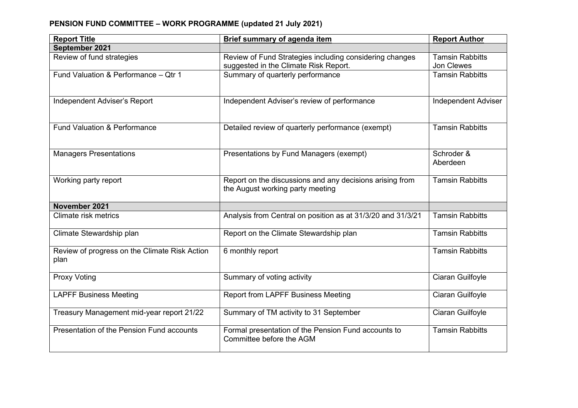## **PENSION FUND COMMITTEE – WORK PROGRAMME (updated 21 July 2021)**

| <b>Report Title</b>                                   | <b>Brief summary of agenda item</b>                                                          | <b>Report Author</b>       |
|-------------------------------------------------------|----------------------------------------------------------------------------------------------|----------------------------|
| September 2021                                        |                                                                                              |                            |
| Review of fund strategies                             | Review of Fund Strategies including considering changes                                      | <b>Tamsin Rabbitts</b>     |
|                                                       | suggested in the Climate Risk Report.                                                        | Jon Clewes                 |
| Fund Valuation & Performance - Qtr 1                  | Summary of quarterly performance                                                             | <b>Tamsin Rabbitts</b>     |
| Independent Adviser's Report                          | Independent Adviser's review of performance                                                  | <b>Independent Adviser</b> |
| <b>Fund Valuation &amp; Performance</b>               | Detailed review of quarterly performance (exempt)                                            | <b>Tamsin Rabbitts</b>     |
| <b>Managers Presentations</b>                         | Presentations by Fund Managers (exempt)                                                      | Schroder &<br>Aberdeen     |
| Working party report                                  | Report on the discussions and any decisions arising from<br>the August working party meeting | <b>Tamsin Rabbitts</b>     |
| November 2021                                         |                                                                                              |                            |
| Climate risk metrics                                  | Analysis from Central on position as at 31/3/20 and 31/3/21                                  | <b>Tamsin Rabbitts</b>     |
| Climate Stewardship plan                              | Report on the Climate Stewardship plan                                                       | <b>Tamsin Rabbitts</b>     |
| Review of progress on the Climate Risk Action<br>plan | 6 monthly report                                                                             | <b>Tamsin Rabbitts</b>     |
| <b>Proxy Voting</b>                                   | Summary of voting activity                                                                   | Ciaran Guilfoyle           |
| <b>LAPFF Business Meeting</b>                         | <b>Report from LAPFF Business Meeting</b>                                                    | Ciaran Guilfoyle           |
| Treasury Management mid-year report 21/22             | Summary of TM activity to 31 September                                                       | Ciaran Guilfoyle           |
| Presentation of the Pension Fund accounts             | Formal presentation of the Pension Fund accounts to<br>Committee before the AGM              | <b>Tamsin Rabbitts</b>     |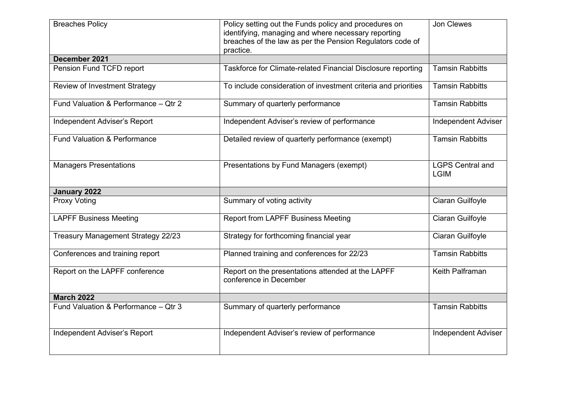| <b>Breaches Policy</b>                  | Policy setting out the Funds policy and procedures on<br>identifying, managing and where necessary reporting<br>breaches of the law as per the Pension Regulators code of<br>practice. | Jon Clewes                             |
|-----------------------------------------|----------------------------------------------------------------------------------------------------------------------------------------------------------------------------------------|----------------------------------------|
| December 2021                           |                                                                                                                                                                                        |                                        |
| Pension Fund TCFD report                | Taskforce for Climate-related Financial Disclosure reporting                                                                                                                           | <b>Tamsin Rabbitts</b>                 |
| <b>Review of Investment Strategy</b>    | To include consideration of investment criteria and priorities                                                                                                                         | <b>Tamsin Rabbitts</b>                 |
| Fund Valuation & Performance - Qtr 2    | Summary of quarterly performance                                                                                                                                                       | <b>Tamsin Rabbitts</b>                 |
| Independent Adviser's Report            | Independent Adviser's review of performance                                                                                                                                            | <b>Independent Adviser</b>             |
| <b>Fund Valuation &amp; Performance</b> | Detailed review of quarterly performance (exempt)                                                                                                                                      | <b>Tamsin Rabbitts</b>                 |
| <b>Managers Presentations</b>           | Presentations by Fund Managers (exempt)                                                                                                                                                | <b>LGPS Central and</b><br><b>LGIM</b> |
| January 2022                            |                                                                                                                                                                                        |                                        |
| <b>Proxy Voting</b>                     | Summary of voting activity                                                                                                                                                             | Ciaran Guilfoyle                       |
| <b>LAPFF Business Meeting</b>           | <b>Report from LAPFF Business Meeting</b>                                                                                                                                              | Ciaran Guilfoyle                       |
| Treasury Management Strategy 22/23      | Strategy for forthcoming financial year                                                                                                                                                | Ciaran Guilfoyle                       |
| Conferences and training report         | Planned training and conferences for 22/23                                                                                                                                             | <b>Tamsin Rabbitts</b>                 |
| Report on the LAPFF conference          | Report on the presentations attended at the LAPFF<br>conference in December                                                                                                            | Keith Palframan                        |
| <b>March 2022</b>                       |                                                                                                                                                                                        |                                        |
| Fund Valuation & Performance - Qtr 3    | Summary of quarterly performance                                                                                                                                                       | <b>Tamsin Rabbitts</b>                 |
| Independent Adviser's Report            | Independent Adviser's review of performance                                                                                                                                            | <b>Independent Adviser</b>             |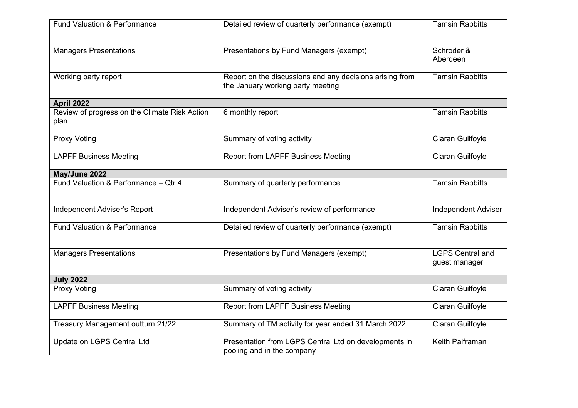| <b>Fund Valuation &amp; Performance</b>               | Detailed review of quarterly performance (exempt)                                             | <b>Tamsin Rabbitts</b>                   |
|-------------------------------------------------------|-----------------------------------------------------------------------------------------------|------------------------------------------|
| <b>Managers Presentations</b>                         | Presentations by Fund Managers (exempt)                                                       | Schroder &<br>Aberdeen                   |
| Working party report                                  | Report on the discussions and any decisions arising from<br>the January working party meeting | <b>Tamsin Rabbitts</b>                   |
| <b>April 2022</b>                                     |                                                                                               |                                          |
| Review of progress on the Climate Risk Action<br>plan | 6 monthly report                                                                              | <b>Tamsin Rabbitts</b>                   |
| <b>Proxy Voting</b>                                   | Summary of voting activity                                                                    | Ciaran Guilfoyle                         |
| <b>LAPFF Business Meeting</b>                         | <b>Report from LAPFF Business Meeting</b>                                                     | Ciaran Guilfoyle                         |
| May/June 2022                                         |                                                                                               |                                          |
| Fund Valuation & Performance - Qtr 4                  | Summary of quarterly performance                                                              | <b>Tamsin Rabbitts</b>                   |
| Independent Adviser's Report                          | Independent Adviser's review of performance                                                   | <b>Independent Adviser</b>               |
| <b>Fund Valuation &amp; Performance</b>               | Detailed review of quarterly performance (exempt)                                             | <b>Tamsin Rabbitts</b>                   |
| <b>Managers Presentations</b>                         | Presentations by Fund Managers (exempt)                                                       | <b>LGPS Central and</b><br>guest manager |
| <b>July 2022</b>                                      |                                                                                               |                                          |
| <b>Proxy Voting</b>                                   | Summary of voting activity                                                                    | Ciaran Guilfoyle                         |
| <b>LAPFF Business Meeting</b>                         | <b>Report from LAPFF Business Meeting</b>                                                     | Ciaran Guilfoyle                         |
| Treasury Management outturn 21/22                     | Summary of TM activity for year ended 31 March 2022                                           | Ciaran Guilfoyle                         |
| Update on LGPS Central Ltd                            | Presentation from LGPS Central Ltd on developments in<br>pooling and in the company           | Keith Palframan                          |